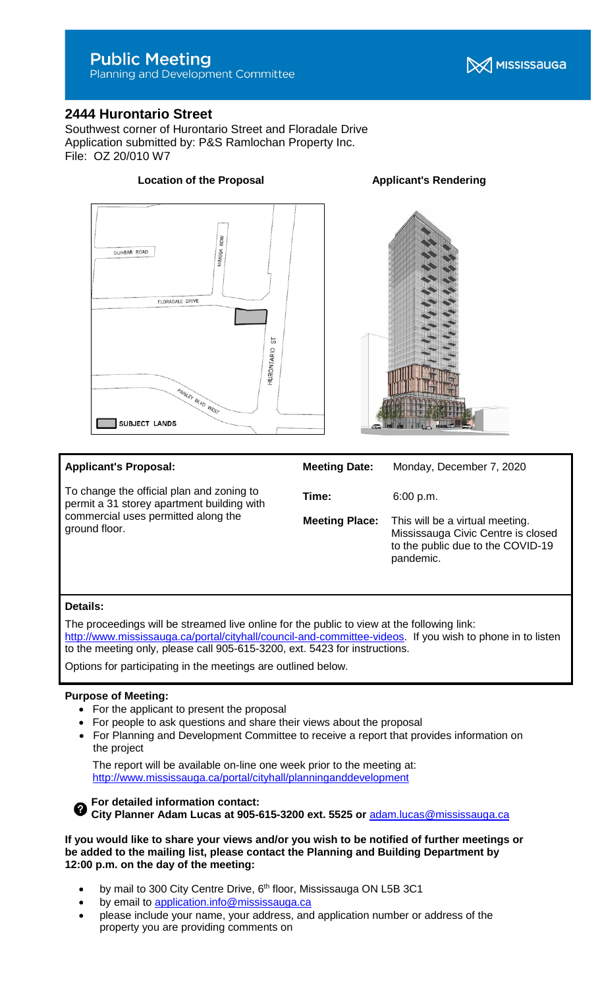## **Public Meeting**

Planning and Development Committee

## **2444 Hurontario Street**

Southwest corner of Hurontario Street and Floradale Drive Application submitted by: P&S Ramlochan Property Inc. File: OZ 20/010 W7

# ROW MIMOSA DUNBAR ROAD FLORADALE D PAISLEY BLVD WEST **SUBJECT LANDS**

| DRIVE |         |  |  |
|-------|---------|--|--|
|       | 능       |  |  |
|       | $\circ$ |  |  |

| <b>Applicant's Proposal:</b>                                                            | <b>Meeting Date:</b>  | Monday, December 7, 2020                                                                                                |
|-----------------------------------------------------------------------------------------|-----------------------|-------------------------------------------------------------------------------------------------------------------------|
| To change the official plan and zoning to<br>permit a 31 storey apartment building with | Time:                 | 6:00 p.m.                                                                                                               |
| commercial uses permitted along the<br>ground floor.                                    | <b>Meeting Place:</b> | This will be a virtual meeting.<br>Mississauga Civic Centre is closed<br>to the public due to the COVID-19<br>pandemic. |

## **Details:**

The proceedings will be streamed live online for the public to view at the following link: [http://www.mississauga.ca/portal/cityhall/council-and-committee-videos.](http://www.mississauga.ca/portal/cityhall/council-and-committee-videos) If you wish to phone in to listen to the meeting only, please call 905-615-3200, ext. 5423 for instructions.

Options for participating in the meetings are outlined below.

#### **Purpose of Meeting:**

- For the applicant to present the proposal
- For people to ask questions and share their views about the proposal
- For Planning and Development Committee to receive a report that provides information on the project

The report will be available on-line one week prior to the meeting at: <http://www.mississauga.ca/portal/cityhall/planninganddevelopment>

**For detailed information contact: City Planner Adam Lucas at 905-615-3200 ext. 5525 or** [adam.lucas@mississauga.ca](mailto:adam.lucas@mississauga.ca)

**If you would like to share your views and/or you wish to be notified of further meetings or be added to the mailing list, please contact the Planning and Building Department by 12:00 p.m. on the day of the meeting:**

- by mail to 300 City Centre Drive, 6<sup>th</sup> floor, Mississauga ON L5B 3C1
- by email to [application.info@mississauga.ca](http://teamsites.mississauga.ca/sites/18/Glossaries%20and%20Templates/application.info@mississauga.ca)
- please include your name, your address, and application number or address of the property you are providing comments on

## **Location of the Proposal Constrainer Applicant's Rendering**